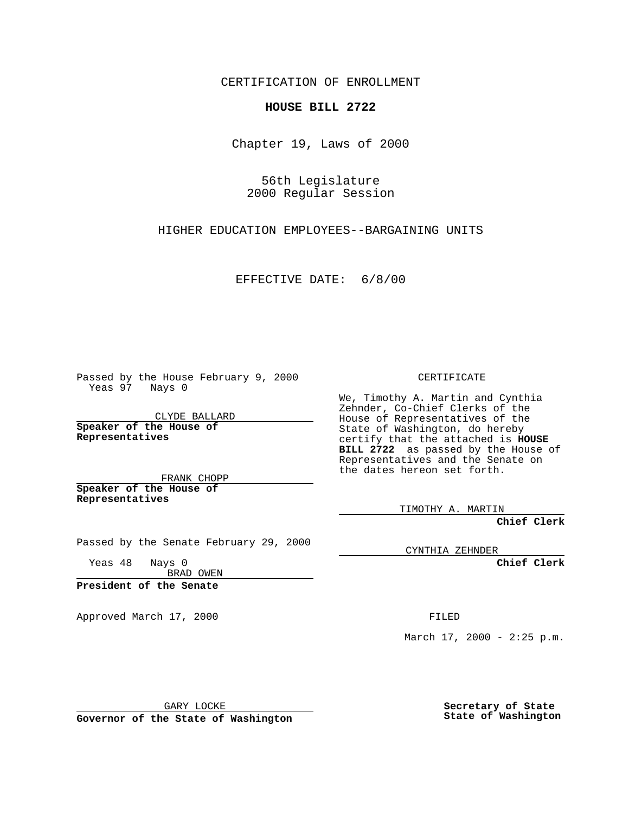CERTIFICATION OF ENROLLMENT

## **HOUSE BILL 2722**

Chapter 19, Laws of 2000

56th Legislature 2000 Regular Session

HIGHER EDUCATION EMPLOYEES--BARGAINING UNITS

EFFECTIVE DATE: 6/8/00

Passed by the House February 9, 2000 Yeas 97 Nays 0

CLYDE BALLARD **Speaker of the House of Representatives**

FRANK CHOPP **Speaker of the House of Representatives**

Passed by the Senate February 29, 2000

Yeas 48 Nays 0 BRAD OWEN

**President of the Senate**

Approved March 17, 2000 FILED

CERTIFICATE

We, Timothy A. Martin and Cynthia Zehnder, Co-Chief Clerks of the House of Representatives of the State of Washington, do hereby certify that the attached is **HOUSE BILL 2722** as passed by the House of Representatives and the Senate on the dates hereon set forth.

TIMOTHY A. MARTIN

**Chief Clerk**

CYNTHIA ZEHNDER

**Chief Clerk**

March  $17, 2000 - 2:25 p.m.$ 

GARY LOCKE

**Governor of the State of Washington**

**Secretary of State State of Washington**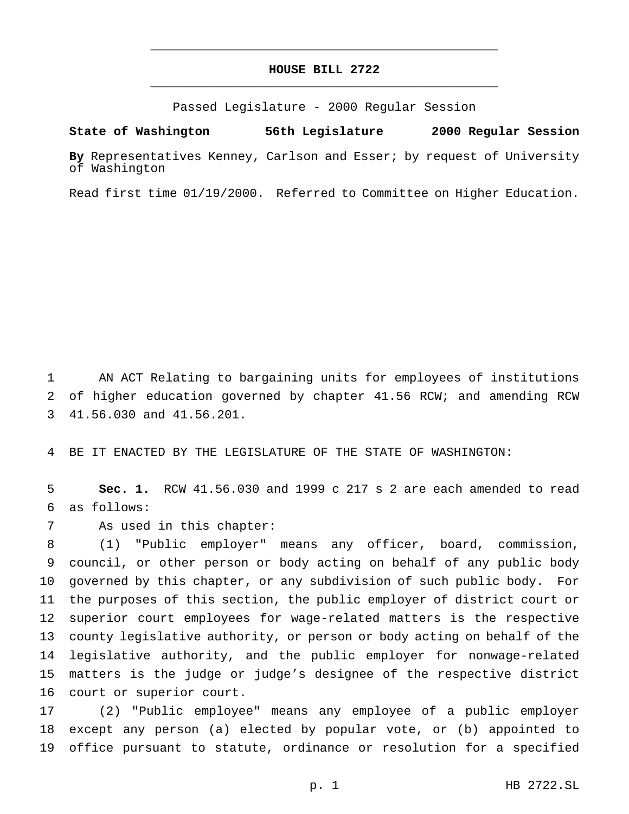## **HOUSE BILL 2722** \_\_\_\_\_\_\_\_\_\_\_\_\_\_\_\_\_\_\_\_\_\_\_\_\_\_\_\_\_\_\_\_\_\_\_\_\_\_\_\_\_\_\_\_\_\_\_

\_\_\_\_\_\_\_\_\_\_\_\_\_\_\_\_\_\_\_\_\_\_\_\_\_\_\_\_\_\_\_\_\_\_\_\_\_\_\_\_\_\_\_\_\_\_\_

Passed Legislature - 2000 Regular Session

## **State of Washington 56th Legislature 2000 Regular Session**

**By** Representatives Kenney, Carlson and Esser; by request of University of Washington

Read first time 01/19/2000. Referred to Committee on Higher Education.

 AN ACT Relating to bargaining units for employees of institutions of higher education governed by chapter 41.56 RCW; and amending RCW 41.56.030 and 41.56.201.

BE IT ENACTED BY THE LEGISLATURE OF THE STATE OF WASHINGTON:

 **Sec. 1.** RCW 41.56.030 and 1999 c 217 s 2 are each amended to read as follows:

As used in this chapter:

 (1) "Public employer" means any officer, board, commission, council, or other person or body acting on behalf of any public body governed by this chapter, or any subdivision of such public body. For the purposes of this section, the public employer of district court or superior court employees for wage-related matters is the respective county legislative authority, or person or body acting on behalf of the legislative authority, and the public employer for nonwage-related matters is the judge or judge's designee of the respective district court or superior court.

 (2) "Public employee" means any employee of a public employer except any person (a) elected by popular vote, or (b) appointed to office pursuant to statute, ordinance or resolution for a specified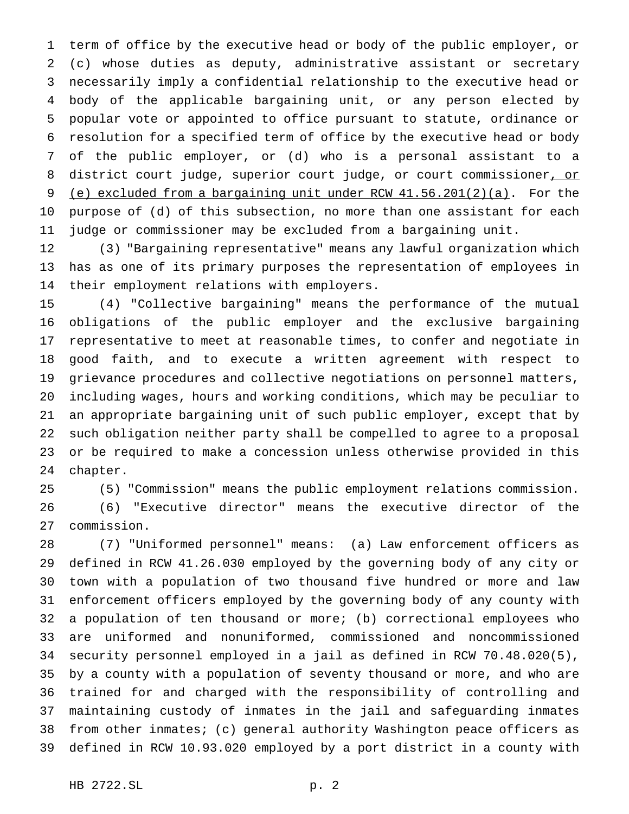term of office by the executive head or body of the public employer, or (c) whose duties as deputy, administrative assistant or secretary necessarily imply a confidential relationship to the executive head or body of the applicable bargaining unit, or any person elected by popular vote or appointed to office pursuant to statute, ordinance or resolution for a specified term of office by the executive head or body of the public employer, or (d) who is a personal assistant to a 8 district court judge, superior court judge, or court commissioner, or (e) excluded from a bargaining unit under RCW 41.56.201(2)(a). For the purpose of (d) of this subsection, no more than one assistant for each judge or commissioner may be excluded from a bargaining unit.

 (3) "Bargaining representative" means any lawful organization which has as one of its primary purposes the representation of employees in their employment relations with employers.

 (4) "Collective bargaining" means the performance of the mutual obligations of the public employer and the exclusive bargaining representative to meet at reasonable times, to confer and negotiate in good faith, and to execute a written agreement with respect to grievance procedures and collective negotiations on personnel matters, including wages, hours and working conditions, which may be peculiar to an appropriate bargaining unit of such public employer, except that by such obligation neither party shall be compelled to agree to a proposal or be required to make a concession unless otherwise provided in this chapter.

(5) "Commission" means the public employment relations commission.

 (6) "Executive director" means the executive director of the commission.

 (7) "Uniformed personnel" means: (a) Law enforcement officers as defined in RCW 41.26.030 employed by the governing body of any city or town with a population of two thousand five hundred or more and law enforcement officers employed by the governing body of any county with a population of ten thousand or more; (b) correctional employees who are uniformed and nonuniformed, commissioned and noncommissioned security personnel employed in a jail as defined in RCW 70.48.020(5), by a county with a population of seventy thousand or more, and who are trained for and charged with the responsibility of controlling and maintaining custody of inmates in the jail and safeguarding inmates from other inmates; (c) general authority Washington peace officers as defined in RCW 10.93.020 employed by a port district in a county with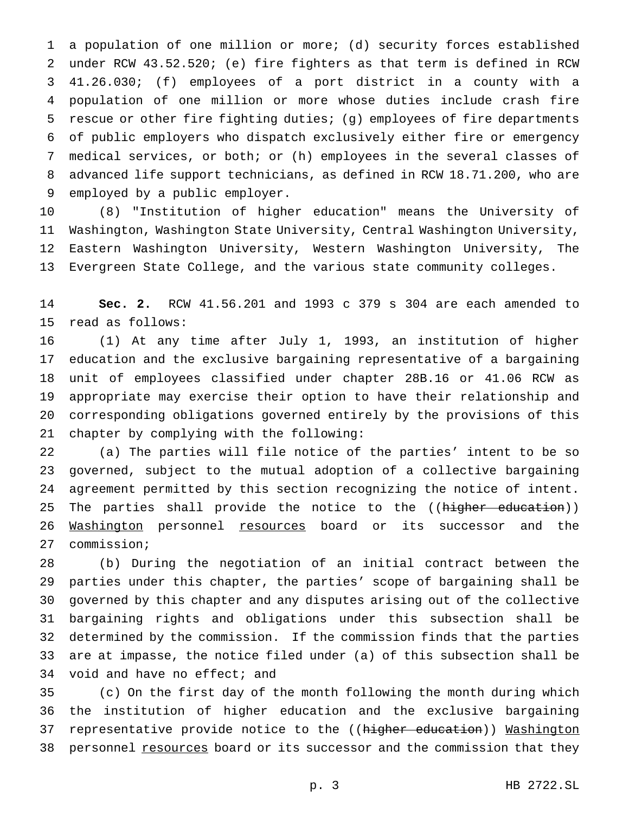a population of one million or more; (d) security forces established under RCW 43.52.520; (e) fire fighters as that term is defined in RCW 41.26.030; (f) employees of a port district in a county with a population of one million or more whose duties include crash fire rescue or other fire fighting duties; (g) employees of fire departments of public employers who dispatch exclusively either fire or emergency medical services, or both; or (h) employees in the several classes of advanced life support technicians, as defined in RCW 18.71.200, who are employed by a public employer.

 (8) "Institution of higher education" means the University of Washington, Washington State University, Central Washington University, Eastern Washington University, Western Washington University, The Evergreen State College, and the various state community colleges.

 **Sec. 2.** RCW 41.56.201 and 1993 c 379 s 304 are each amended to read as follows:

 (1) At any time after July 1, 1993, an institution of higher education and the exclusive bargaining representative of a bargaining unit of employees classified under chapter 28B.16 or 41.06 RCW as appropriate may exercise their option to have their relationship and corresponding obligations governed entirely by the provisions of this chapter by complying with the following:

 (a) The parties will file notice of the parties' intent to be so governed, subject to the mutual adoption of a collective bargaining agreement permitted by this section recognizing the notice of intent. 25 The parties shall provide the notice to the ((higher education)) 26 Washington personnel resources board or its successor and the commission;

 (b) During the negotiation of an initial contract between the parties under this chapter, the parties' scope of bargaining shall be governed by this chapter and any disputes arising out of the collective bargaining rights and obligations under this subsection shall be determined by the commission. If the commission finds that the parties are at impasse, the notice filed under (a) of this subsection shall be void and have no effect; and

 (c) On the first day of the month following the month during which the institution of higher education and the exclusive bargaining 37 representative provide notice to the ((higher education)) Washington 38 personnel resources board or its successor and the commission that they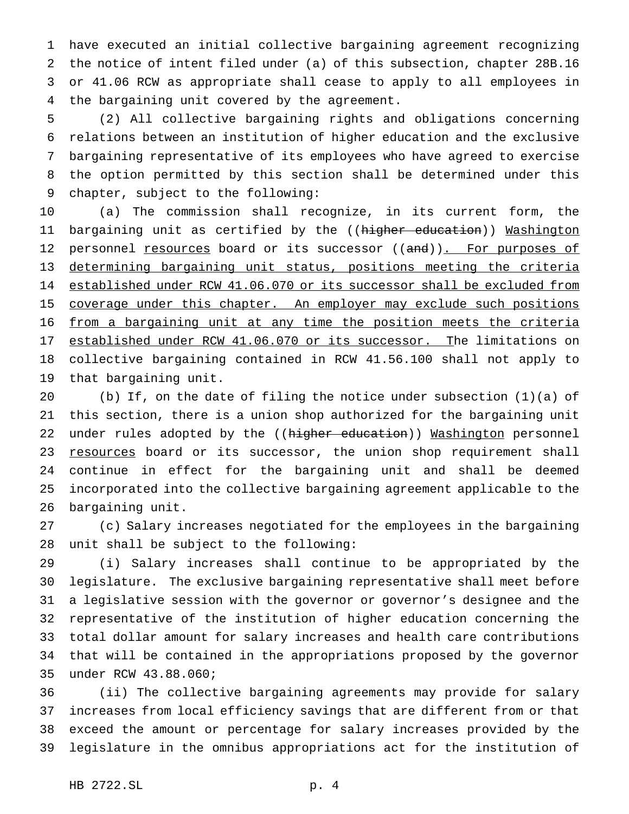have executed an initial collective bargaining agreement recognizing the notice of intent filed under (a) of this subsection, chapter 28B.16 or 41.06 RCW as appropriate shall cease to apply to all employees in the bargaining unit covered by the agreement.

 (2) All collective bargaining rights and obligations concerning relations between an institution of higher education and the exclusive bargaining representative of its employees who have agreed to exercise the option permitted by this section shall be determined under this chapter, subject to the following:

 (a) The commission shall recognize, in its current form, the 11 bargaining unit as certified by the ((<del>higher education</del>)) Washington 12 personnel resources board or its successor ((and)). For purposes of determining bargaining unit status, positions meeting the criteria established under RCW 41.06.070 or its successor shall be excluded from 15 coverage under this chapter. An employer may exclude such positions from a bargaining unit at any time the position meets the criteria 17 established under RCW 41.06.070 or its successor. The limitations on collective bargaining contained in RCW 41.56.100 shall not apply to that bargaining unit.

 (b) If, on the date of filing the notice under subsection (1)(a) of this section, there is a union shop authorized for the bargaining unit 22 under rules adopted by the ((higher education)) Washington personnel 23 resources board or its successor, the union shop requirement shall continue in effect for the bargaining unit and shall be deemed incorporated into the collective bargaining agreement applicable to the bargaining unit.

 (c) Salary increases negotiated for the employees in the bargaining unit shall be subject to the following:

 (i) Salary increases shall continue to be appropriated by the legislature. The exclusive bargaining representative shall meet before a legislative session with the governor or governor's designee and the representative of the institution of higher education concerning the total dollar amount for salary increases and health care contributions that will be contained in the appropriations proposed by the governor under RCW 43.88.060;

 (ii) The collective bargaining agreements may provide for salary increases from local efficiency savings that are different from or that exceed the amount or percentage for salary increases provided by the legislature in the omnibus appropriations act for the institution of